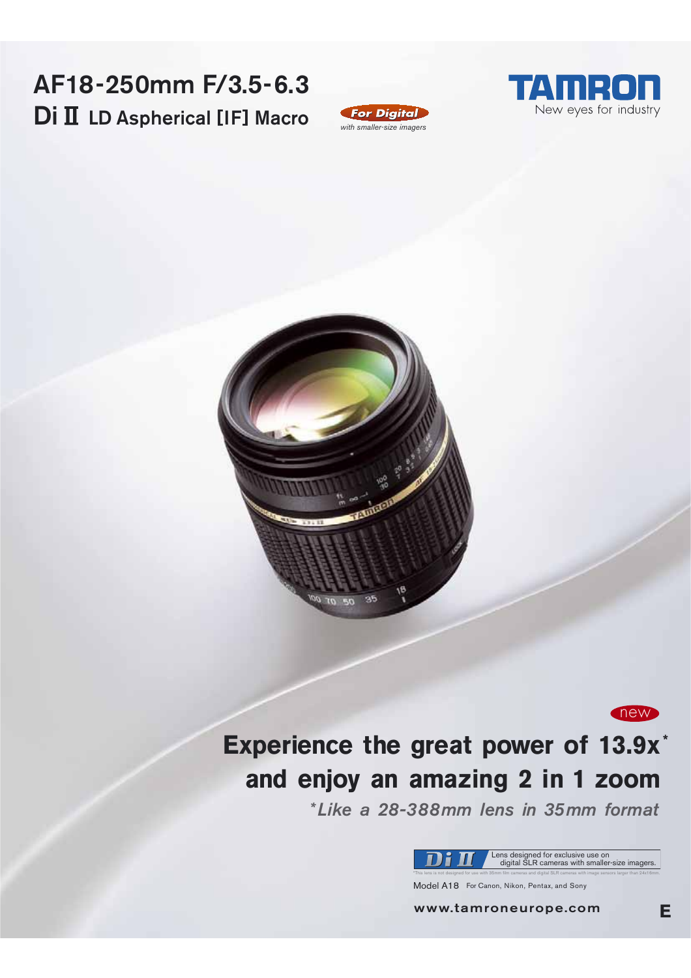# AF18-250mm F/3.5-6.3 Di II LD Aspherical [IF] Macro







# Experience the great power of 13.9x\* and enjoy an amazing 2 in 1 zoom

\*Like a 28-388mm lens in 35mm format



Model A18 For Canon, Nikon, Pentax, and Sony

www.tamroneurope.com

new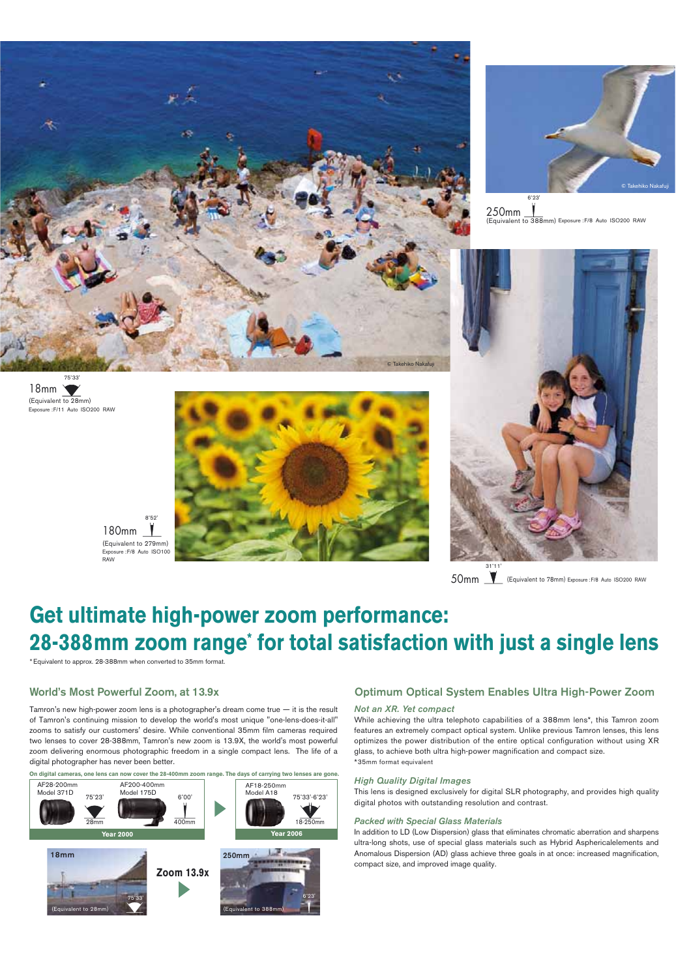



250mm to 388mm) Exposure : F/8 Auto ISO200 RAW



50mm | Equivalent to 78mm) Exposure : F/8 Auto ISO200 RAW

# Get ultimate high-power zoom performance: 28-388mm zoom range\* for total satisfaction with just a single lens

\* Equivalent to approx. 28-388mm when converted to 35mm format.

### World's Most Powerful Zoom, at 13.9x

180mm

**PAM** 

Tamron's new high-power zoom lens is a photographer's dream come true  $-$  it is the result of Tamron's continuing mission to develop the world's most unique "one-lens-does-it-all" zooms to satisfy our customers' desire. While conventional 35mm film cameras required two lenses to cover 28-388mm. Tamron's new zoom is 13.9X, the world's most powerful zoom delivering enormous photographic freedom in a single compact lens. The life of a digital photographer has never been better.



### Optimum Optical System Enables Ultra High-Power Zoom

#### Not an XR. Yet compact

While achieving the ultra telephoto capabilities of a 388mm lens\*, this Tamron zoom features an extremely compact optical system. Unlike previous Tamron lenses, this lens optimizes the power distribution of the entire optical configuration without using XR glass, to achieve both ultra high-power magnification and compact size. \*35mm format equivalent

#### **High Quality Digital Images**

This lens is designed exclusively for digital SLR photography, and provides high quality digital photos with outstanding resolution and contrast.

#### **Packed with Special Glass Materials**

In addition to LD (Low Dispersion) glass that eliminates chromatic aberration and sharpens ultra-long shots, use of special glass materials such as Hybrid Asphericalelements and Anomalous Dispersion (AD) glass achieve three goals in at once: increased magnification, compact size, and improved image quality.

18mm<br>(Equivalent to 28mm) Exposure : F/11 Auto ISO200 RAW

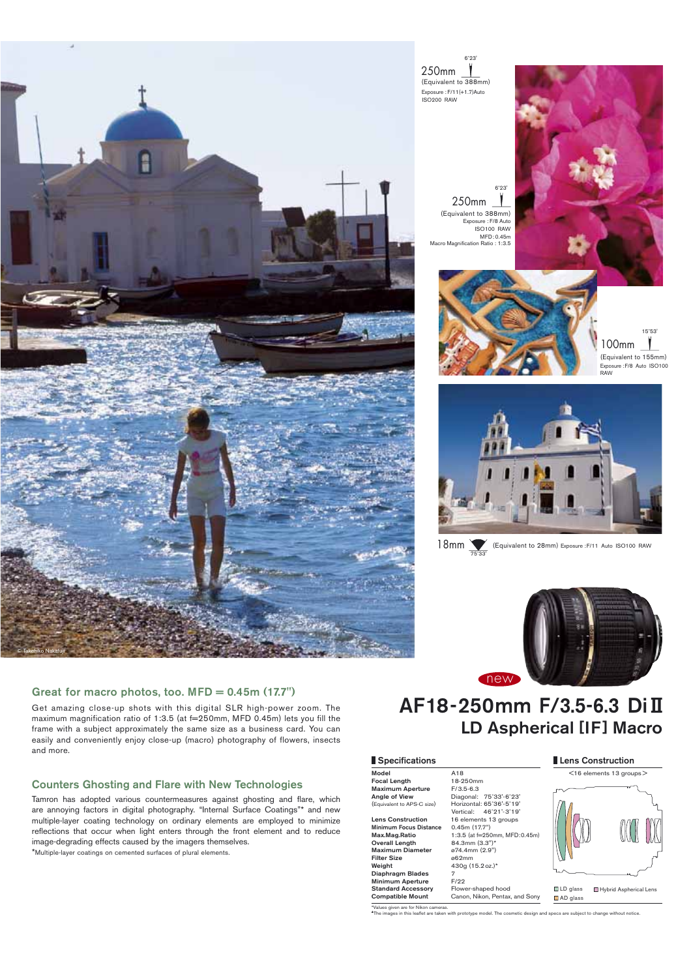

250mm (Equivalent to 388mm) Exposure : F/11(+1.7)Auto **ISO200 RAW** 

> 250mm (Equivalent to 388mm) Exposure : F/8 Auto<br>ISO100 RAW  $MFD: 0.45m$ ation Ratio :  $1:3.5$







18mm (Equivalent to 28mm) Exposure : F/11 Auto ISO100 RAW



## Great for macro photos, too. MFD = 0.45m (17.7")

Get amazing close-up shots with this digital SLR high-power zoom. The maximum magnification ratio of 1:3.5 (at f=250mm, MFD 0.45m) lets you fill the frame with a subject approximately the same size as a business card. You can easily and conveniently enjoy close-up (macro) photography of flowers, insects and more.

### **Counters Ghosting and Flare with New Technologies**

Tamron has adopted various countermeasures against ghosting and flare, which are annoying factors in digital photography. "Internal Surface Coatings"\* and new multiple-layer coating technology on ordinary elements are employed to minimize reflections that occur when light enters through the front element and to reduce image-degrading effects caused by the imagers themselves.

\*Multiple-layer coatings on cemented surfaces of plural elements.

# AF18-250mm F/3.5-6.3 Dill **LD Aspherical [IF] Macro**

#### Specifications

Model mouse<br>Focal Length Maximum Aperture<br>Angle of View (Equivalent to APS-C size)

**Lens Construction** Minimum Focus Dista<br>Max.Mag.Ratio Overall Length Maximum Diamete<br>Filter Size Weight<br>Diaphragm Blades Minimum Aperture<br>Standard Accessory Compatible Mount

A<sub>18</sub> 18-250mm F/3.5-6.3<br>Diagonal: 75°33'-6°23' Horizontal: 65°36'-5°19'<br>Vertical: 46°21'-3°19' 16 elements 13 groups 0.45m (17.7")<br>1:3.5 (at f=250 m. MFD:0.45 84.3mm (3.3")\*<br> $\omega$ 74.4mm (2.9") ø62mm 430g (15.2 oz.)\*  $F/22$  $F_{\text{DMM}}$ hood hears-re Canon, Nikon, Pentax, and Sony  $\leq$ 16 elements 13 aroups $>$ 

Lens Construction



 $\Box$  LD glass Hybrid Aspherical Lens AD glass

es given are for Nik del The

ct to change without notic